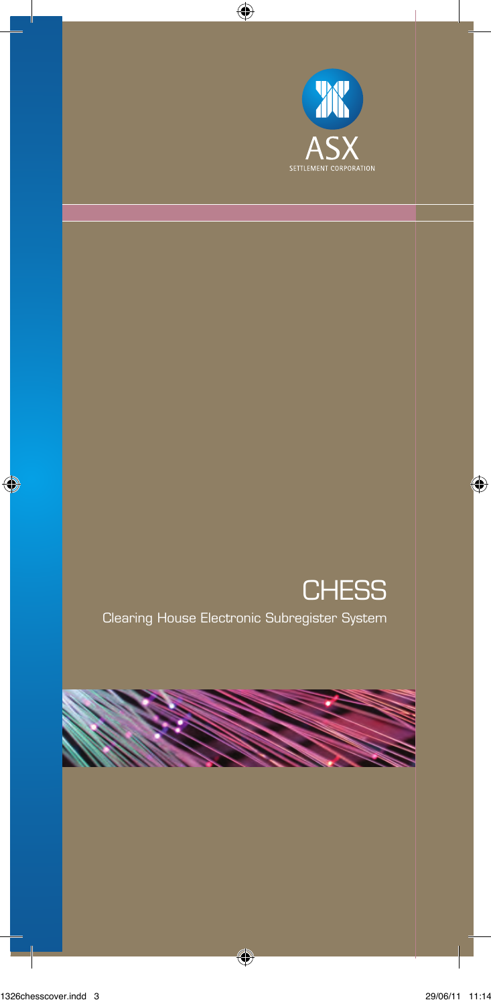

# **CHESS**

Clearing House Electronic Subregister System

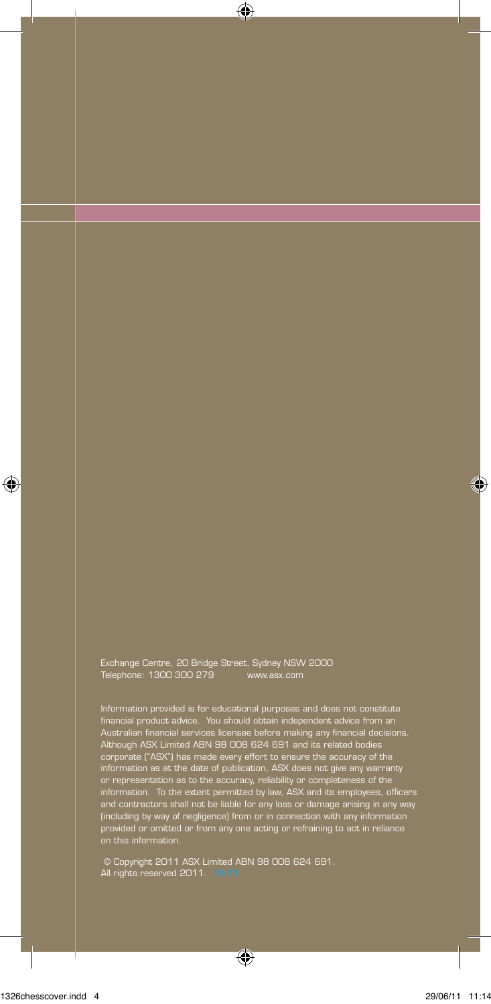Exchange Centre, 20 Bridge Street, Sydney NSW 2000 Telephone: 1300 300 279 www.asx.com

Information provided is for educational purposes and does not constitute financial product advice. You should obtain independent advice from an Australian financial services licensee before making any financial decisions. Although ASX Limited ABN 98 008 624 691 and its related bodies corporate ("ASX") has made every effort to ensure the accuracy of the information as at the date of publication, ASX does not give any warranty or representation as to the accuracy, reliability or completeness of the<br>information. To the extent permitted by law, ASX and its employees, officers<br>and contractors shall not be liable for any loss or damage arising in an

 © Copyright 2011 ASX Limited ABN 98 008 624 691. All rights reserved 2011. 05-11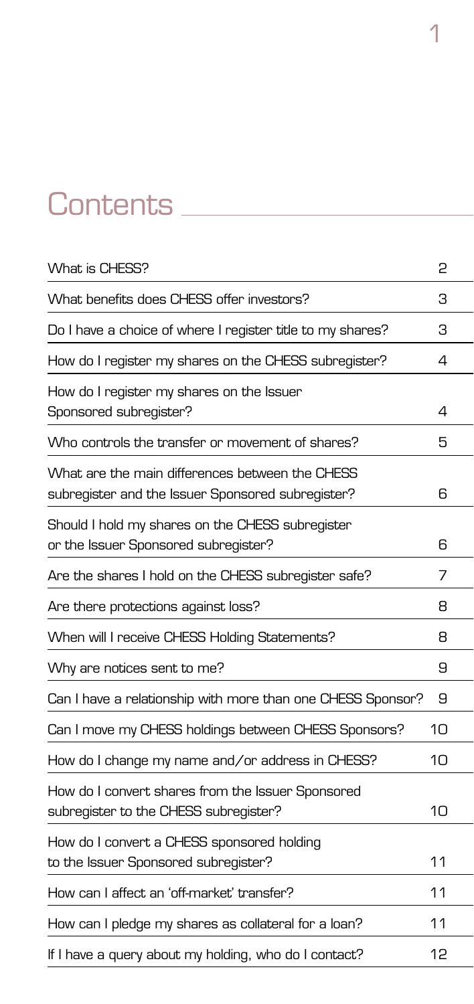# Contents

| What is CHESS?                                                                                       | 2  |
|------------------------------------------------------------------------------------------------------|----|
| What benefits does CHESS offer investors?                                                            | З  |
| Do I have a choice of where I register title to my shares?                                           | З  |
| How do I register my shares on the CHESS subregister?                                                | 4  |
| How do I register my shares on the Issuer<br>Sponsored subregister?                                  | 4  |
| Who controls the transfer or movement of shares?                                                     | 5  |
| What are the main differences between the CHESS<br>subregister and the Issuer Sponsored subregister? | 6  |
| Should I hold my shares on the CHESS subregister<br>or the Issuer Sponsored subregister?             | 6  |
| Are the shares I hold on the CHESS subregister safe?                                                 | 7  |
| Are there protections against loss?                                                                  | 8  |
| When will I receive CHESS Holding Statements?                                                        | 8  |
| Why are notices sent to me?                                                                          | 9  |
| Can I have a relationship with more than one CHESS Sponsor?                                          | 9  |
| Can I move my CHESS holdings between CHESS Sponsors?                                                 | 10 |
| How do I change my name and/or address in CHESS?                                                     | 10 |
| How do I convert shares from the Issuer Sponsored<br>subregister to the CHESS subregister?           | 10 |
| How do I convert a CHESS sponsored holding<br>to the Issuer Sponsored subregister?                   | 11 |
| How can I affect an 'off-market' transfer?                                                           | 11 |
| How can I pledge my shares as collateral for a loan?                                                 | 11 |
| If I have a query about my holding, who do I contact?                                                | 12 |

1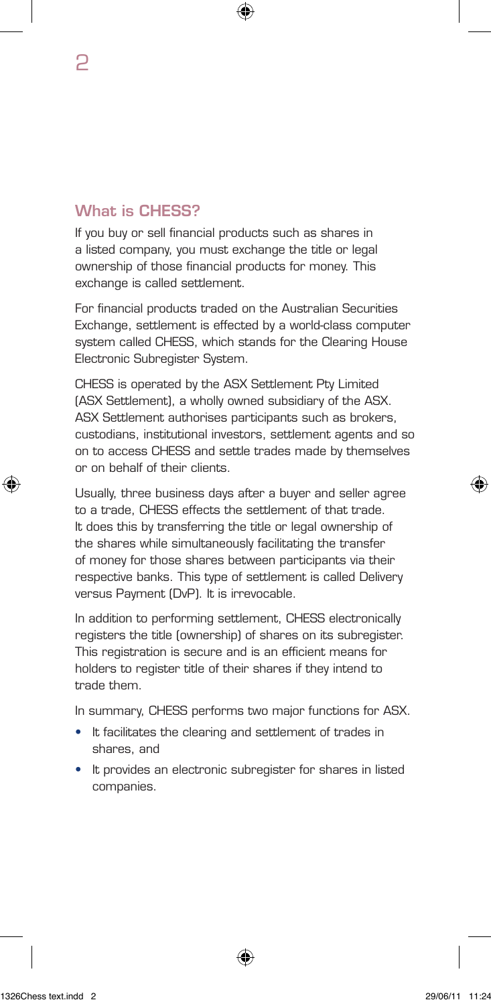# What is CHESS?

If you buy or sell financial products such as shares in a listed company, you must exchange the title or legal ownership of those financial products for money. This exchange is called settlement.

For financial products traded on the Australian Securities Exchange, settlement is effected by a world-class computer system called CHESS, which stands for the Clearing House Electronic Subregister System.

CHESS is operated by the ASX Settlement Pty Limited (ASX Settlement), a wholly owned subsidiary of the ASX. ASX Settlement authorises participants such as brokers, custodians, institutional investors, settlement agents and so on to access CHESS and settle trades made by themselves or on behalf of their clients.

Usually, three business days after a buyer and seller agree to a trade, CHESS effects the settlement of that trade. It does this by transferring the title or legal ownership of the shares while simultaneously facilitating the transfer of money for those shares between participants via their respective banks. This type of settlement is called Delivery versus Payment (DvP). It is irrevocable.

In addition to performing settlement, CHESS electronically registers the title (ownership) of shares on its subregister. This registration is secure and is an efficient means for holders to register title of their shares if they intend to trade them.

In summary, CHESS performs two major functions for ASX.

- It facilitates the clearing and settlement of trades in shares, and
- It provides an electronic subregister for shares in listed companies.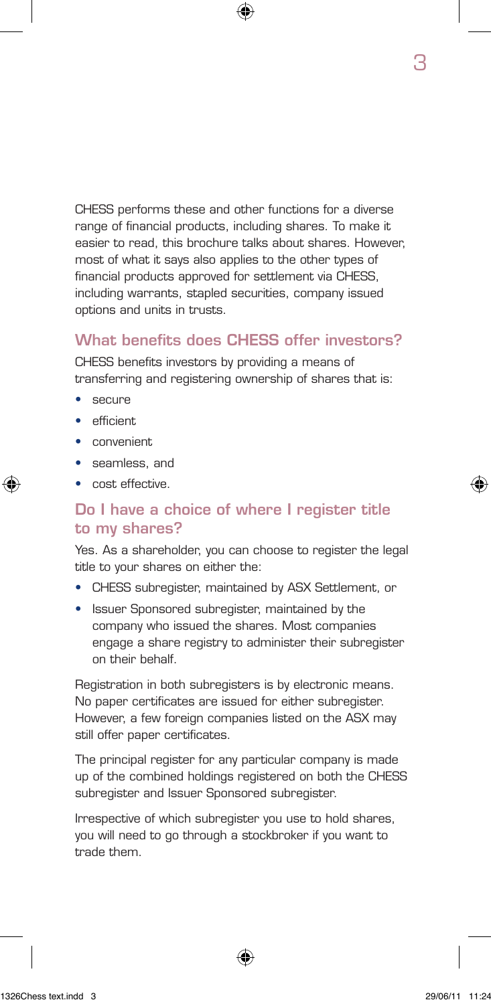CHESS performs these and other functions for a diverse range of financial products, including shares. To make it easier to read, this brochure talks about shares. However, most of what it says also applies to the other types of financial products approved for settlement via CHESS, including warrants, stapled securities, company issued options and units in trusts.

## What benefits does CHESS offer investors?

CHESS benefits investors by providing a means of transferring and registering ownership of shares that is:

- secure
- efficient
- convenient
- seamless, and
- cost effective.

#### Do I have a choice of where I register title to my shares?

Yes. As a shareholder, you can choose to register the legal title to your shares on either the:

- CHESS subregister, maintained by ASX Settlement, or
- Issuer Sponsored subregister, maintained by the company who issued the shares. Most companies engage a share registry to administer their subregister on their behalf.

Registration in both subregisters is by electronic means. No paper certificates are issued for either subregister. However, a few foreign companies listed on the ASX may still offer paper certificates.

The principal register for any particular company is made up of the combined holdings registered on both the CHESS subregister and Issuer Sponsored subregister.

Irrespective of which subregister you use to hold shares, you will need to go through a stockbroker if you want to trade them.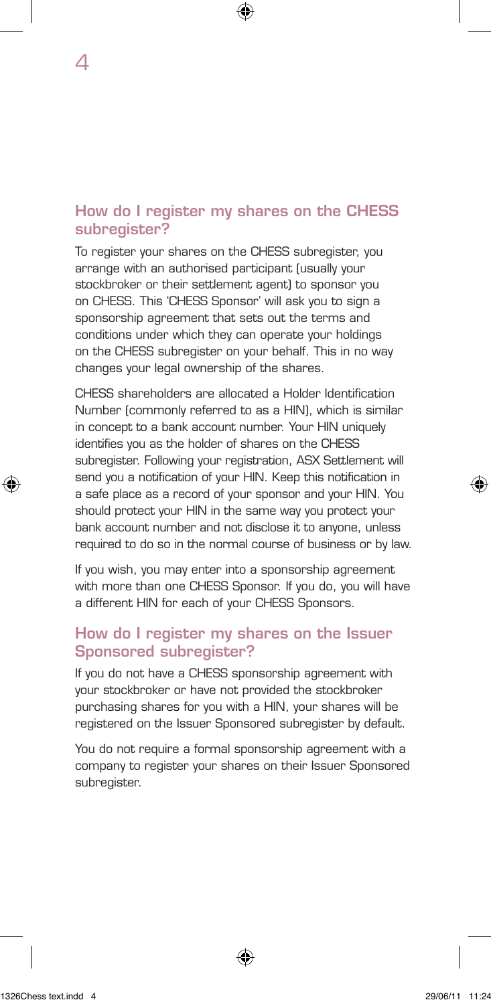#### How do I register my shares on the CHESS subregister?

To register your shares on the CHESS subregister, you arrange with an authorised participant (usually your stockbroker or their settlement agent) to sponsor you on CHESS. This 'CHESS Sponsor' will ask you to sign a sponsorship agreement that sets out the terms and conditions under which they can operate your holdings on the CHESS subregister on your behalf. This in no way changes your legal ownership of the shares.

CHESS shareholders are allocated a Holder Identification Number (commonly referred to as a HIN), which is similar in concept to a bank account number. Your HIN uniquely identifies you as the holder of shares on the CHESS subregister. Following your registration, ASX Settlement will send you a notification of your HIN. Keep this notification in a safe place as a record of your sponsor and your HIN. You should protect your HIN in the same way you protect your bank account number and not disclose it to anyone, unless required to do so in the normal course of business or by law.

If you wish, you may enter into a sponsorship agreement with more than one CHESS Sponsor. If you do, you will have a different HIN for each of your CHESS Sponsors.

#### How do I register my shares on the Issuer Sponsored subregister?

If you do not have a CHESS sponsorship agreement with your stockbroker or have not provided the stockbroker purchasing shares for you with a HIN, your shares will be registered on the Issuer Sponsored subregister by default.

You do not require a formal sponsorship agreement with a company to register your shares on their Issuer Sponsored subregister.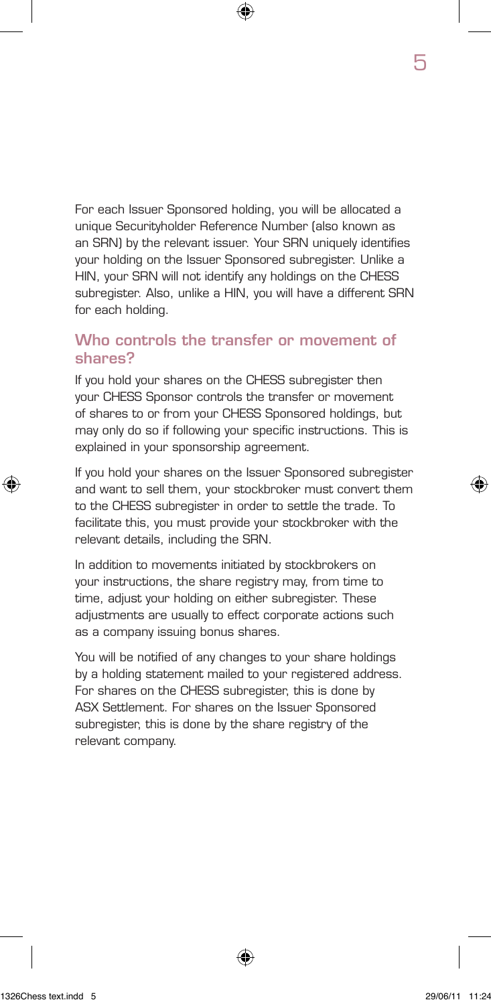For each Issuer Sponsored holding, you will be allocated a unique Securityholder Reference Number (also known as an SRN) by the relevant issuer. Your SRN uniquely identifies your holding on the Issuer Sponsored subregister. Unlike a HIN, your SRN will not identify any holdings on the CHESS subregister. Also, unlike a HIN, you will have a different SRN for each holding.

#### Who controls the transfer or movement of shares?

If you hold your shares on the CHESS subregister then your CHESS Sponsor controls the transfer or movement of shares to or from your CHESS Sponsored holdings, but may only do so if following your specific instructions. This is explained in your sponsorship agreement.

If you hold your shares on the Issuer Sponsored subregister and want to sell them, your stockbroker must convert them to the CHESS subregister in order to settle the trade. To facilitate this, you must provide your stockbroker with the relevant details, including the SRN.

In addition to movements initiated by stockbrokers on your instructions, the share registry may, from time to time, adjust your holding on either subregister. These adjustments are usually to effect corporate actions such as a company issuing bonus shares.

You will be notified of any changes to your share holdings by a holding statement mailed to your registered address. For shares on the CHESS subregister, this is done by ASX Settlement. For shares on the Issuer Sponsored subregister, this is done by the share registry of the relevant company.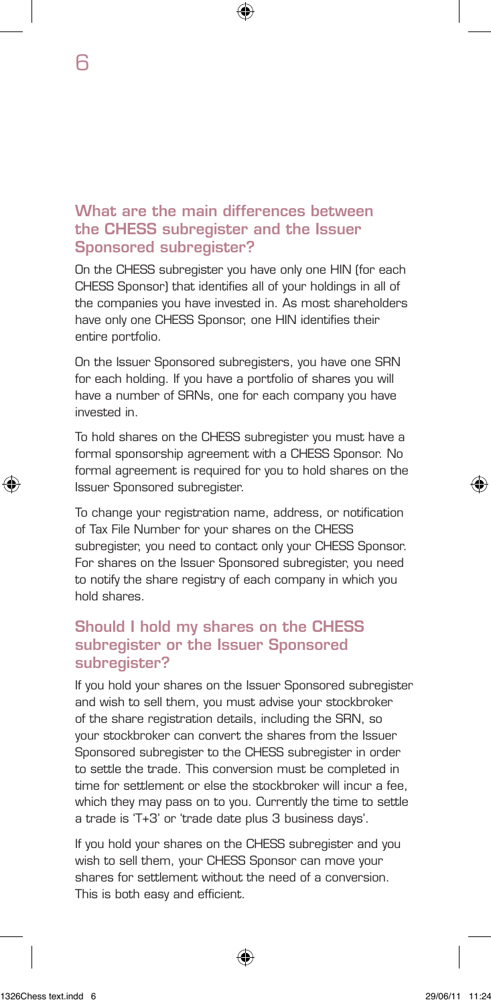#### What are the main differences between the CHESS subregister and the Issuer Sponsored subregister?

On the CHESS subregister you have only one HIN (for each CHESS Sponsor) that identifies all of your holdings in all of the companies you have invested in. As most shareholders have only one CHESS Sponsor, one HIN identifies their entire portfolio.

On the Issuer Sponsored subregisters, you have one SRN for each holding. If you have a portfolio of shares you will have a number of SRNs, one for each company you have invested in.

To hold shares on the CHESS subregister you must have a formal sponsorship agreement with a CHESS Sponsor. No formal agreement is required for you to hold shares on the Issuer Sponsored subregister.

To change your registration name, address, or notification of Tax File Number for your shares on the CHESS subregister, you need to contact only your CHESS Sponsor. For shares on the Issuer Sponsored subregister, you need to notify the share registry of each company in which you hold shares.

#### Should I hold my shares on the CHESS subregister or the Issuer Sponsored subregister?

If you hold your shares on the Issuer Sponsored subregister and wish to sell them, you must advise your stockbroker of the share registration details, including the SRN, so your stockbroker can convert the shares from the Issuer Sponsored subregister to the CHESS subregister in order to settle the trade. This conversion must be completed in time for settlement or else the stockbroker will incur a fee, which they may pass on to you. Currently the time to settle a trade is 'T+3' or 'trade date plus 3 business days'.

If you hold your shares on the CHESS subregister and you wish to sell them, your CHESS Sponsor can move your shares for settlement without the need of a conversion. This is both easy and efficient.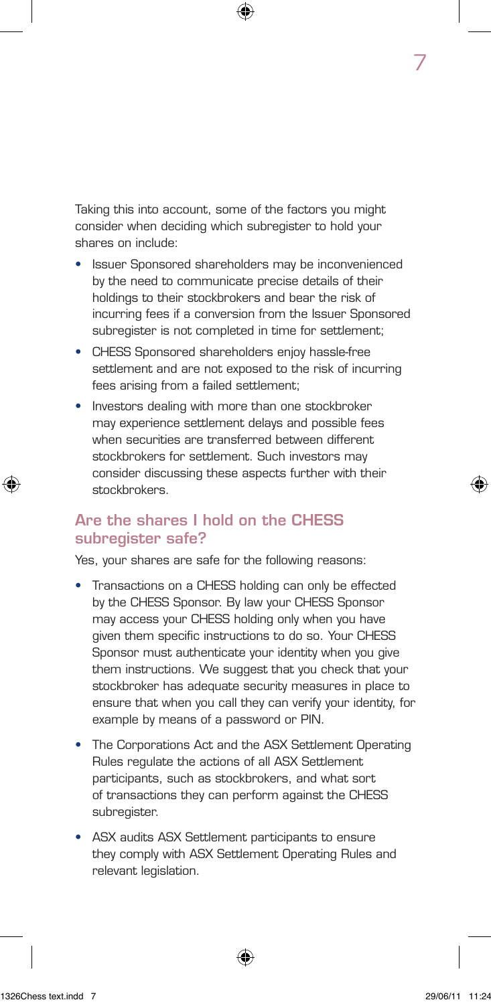Taking this into account, some of the factors you might consider when deciding which subregister to hold your shares on include:

- Issuer Sponsored shareholders may be inconvenienced by the need to communicate precise details of their holdings to their stockbrokers and bear the risk of incurring fees if a conversion from the Issuer Sponsored subregister is not completed in time for settlement:
- CHESS Sponsored shareholders enjoy hassle-free settlement and are not exposed to the risk of incurring fees arising from a failed settlement;
- Investors dealing with more than one stockbroker may experience settlement delays and possible fees when securities are transferred between different stockbrokers for settlement. Such investors may consider discussing these aspects further with their stockbrokers.

#### Are the shares I hold on the CHESS subregister safe?

Yes, your shares are safe for the following reasons:

- Transactions on a CHESS holding can only be effected by the CHESS Sponsor. By law your CHESS Sponsor may access your CHESS holding only when you have given them specific instructions to do so. Your CHESS Sponsor must authenticate your identity when you give them instructions. We suggest that you check that your stockbroker has adequate security measures in place to ensure that when you call they can verify your identity, for example by means of a password or PIN.
- The Corporations Act and the ASX Settlement Operating Rules regulate the actions of all ASX Settlement participants, such as stockbrokers, and what sort of transactions they can perform against the CHESS subregister.
- ASX audits ASX Settlement participants to ensure they comply with ASX Settlement Operating Rules and relevant legislation.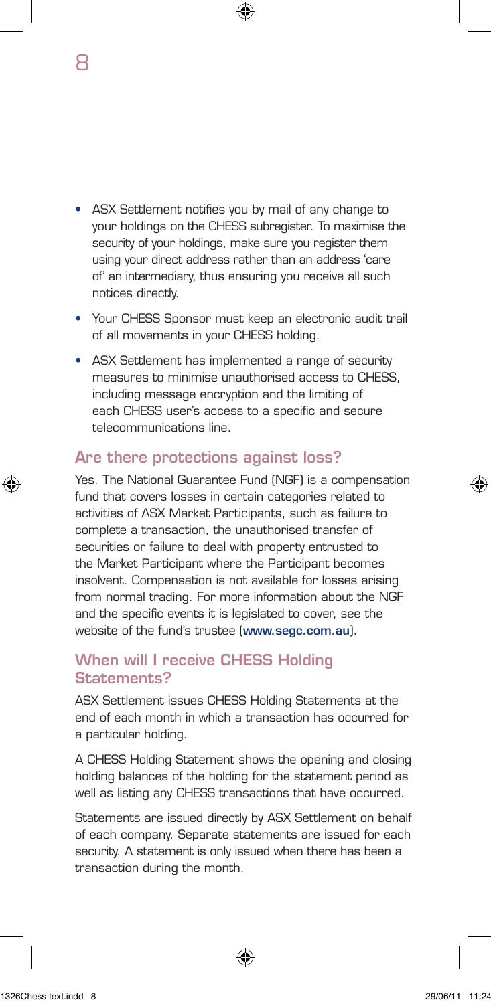• ASX Settlement notifies you by mail of any change to your holdings on the CHESS subregister. To maximise the security of your holdings, make sure you register them using your direct address rather than an address 'care of' an intermediary, thus ensuring you receive all such notices directly.

8

- Your CHESS Sponsor must keep an electronic audit trail of all movements in your CHESS holding.
- ASX Settlement has implemented a range of security measures to minimise unauthorised access to CHESS, including message encryption and the limiting of each CHESS user's access to a specific and secure telecommunications line.

#### Are there protections against loss?

Yes. The National Guarantee Fund (NGF) is a compensation fund that covers losses in certain categories related to activities of ASX Market Participants, such as failure to complete a transaction, the unauthorised transfer of securities or failure to deal with property entrusted to the Market Participant where the Participant becomes insolvent. Compensation is not available for losses arising from normal trading. For more information about the NGF and the specific events it is legislated to cover, see the website of the fund's trustee (www.segc.com.au).

#### When will I receive CHESS Holding Statements?

ASX Settlement issues CHESS Holding Statements at the end of each month in which a transaction has occurred for a particular holding.

A CHESS Holding Statement shows the opening and closing holding balances of the holding for the statement period as well as listing any CHESS transactions that have occurred.

Statements are issued directly by ASX Settlement on behalf of each company. Separate statements are issued for each security. A statement is only issued when there has been a transaction during the month.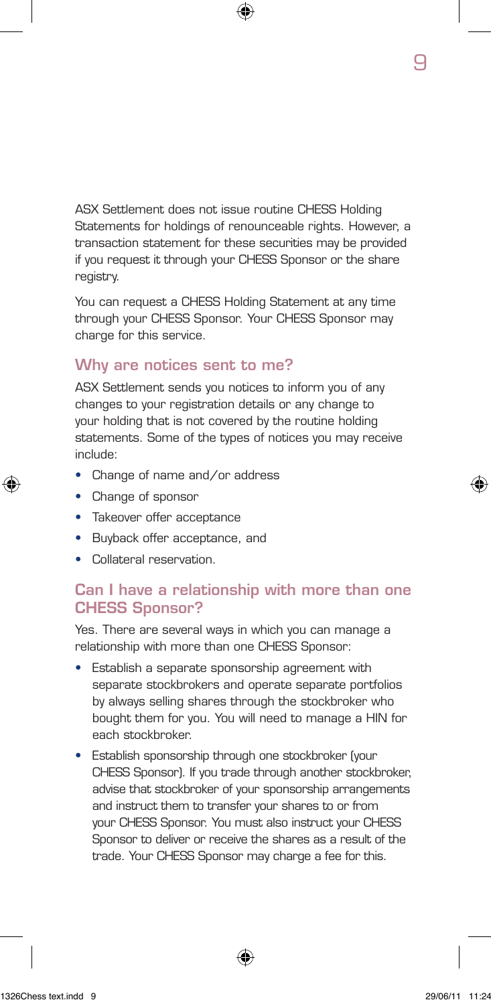ASX Settlement does not issue routine CHESS Holding Statements for holdings of renounceable rights. However, a transaction statement for these securities may be provided if you request it through your CHESS Sponsor or the share registry.

You can request a CHESS Holding Statement at any time through your CHESS Sponsor. Your CHESS Sponsor may charge for this service.

#### Why are notices sent to me?

ASX Settlement sends you notices to inform you of any changes to your registration details or any change to your holding that is not covered by the routine holding statements. Some of the types of notices you may receive include:

- Change of name and/or address
- Change of sponsor
- Takeover offer acceptance
- Buyback offer acceptance, and
- Collateral reservation.

#### Can I have a relationship with more than one CHESS Sponsor?

Yes. There are several ways in which you can manage a relationship with more than one CHESS Sponsor:

- Establish a separate sponsorship agreement with separate stockbrokers and operate separate portfolios by always selling shares through the stockbroker who bought them for you. You will need to manage a HIN for each stockbroker.
- Establish sponsorship through one stockbroker (your CHESS Sponsor). If you trade through another stockbroker, advise that stockbroker of your sponsorship arrangements and instruct them to transfer your shares to or from your CHESS Sponsor. You must also instruct your CHESS Sponsor to deliver or receive the shares as a result of the trade. Your CHESS Sponsor may charge a fee for this.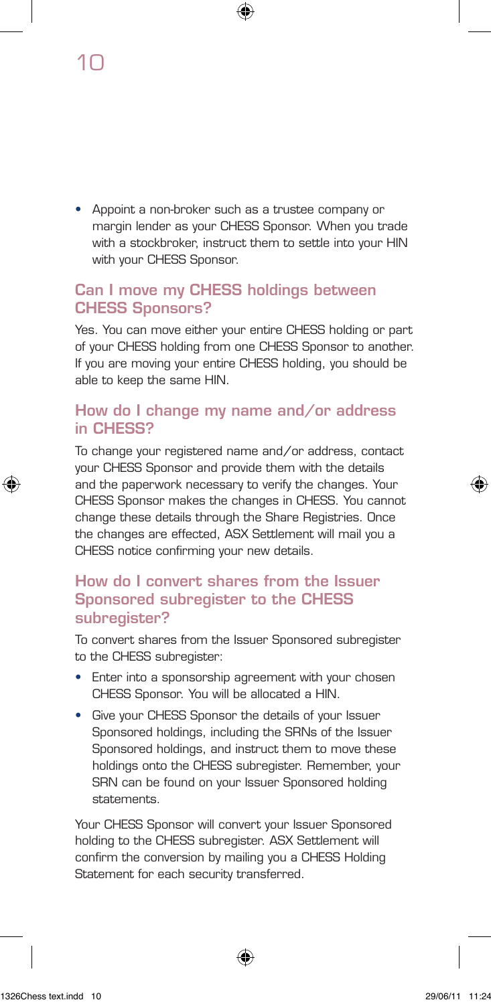• Appoint a non-broker such as a trustee company or margin lender as your CHESS Sponsor. When you trade with a stockbroker, instruct them to settle into your HIN with your CHESS Sponsor.

#### Can I move my CHESS holdings between CHESS Sponsors?

Yes. You can move either your entire CHESS holding or part of your CHESS holding from one CHESS Sponsor to another. If you are moving your entire CHESS holding, you should be able to keep the same HIN.

#### How do I change my name and/or address in CHESS?

To change your registered name and/or address, contact your CHESS Sponsor and provide them with the details and the paperwork necessary to verify the changes. Your CHESS Sponsor makes the changes in CHESS. You cannot change these details through the Share Registries. Once the changes are effected, ASX Settlement will mail you a CHESS notice confirming your new details.

#### How do I convert shares from the Issuer Sponsored subregister to the CHESS subregister?

To convert shares from the Issuer Sponsored subregister to the CHESS subregister:

- Enter into a sponsorship agreement with your chosen CHESS Sponsor. You will be allocated a HIN.
- Give your CHESS Sponsor the details of your Issuer Sponsored holdings, including the SRNs of the Issuer Sponsored holdings, and instruct them to move these holdings onto the CHESS subregister. Remember, your SRN can be found on your Issuer Sponsored holding statements.

Your CHESS Sponsor will convert your Issuer Sponsored holding to the CHESS subregister. ASX Settlement will confirm the conversion by mailing you a CHESS Holding Statement for each security transferred.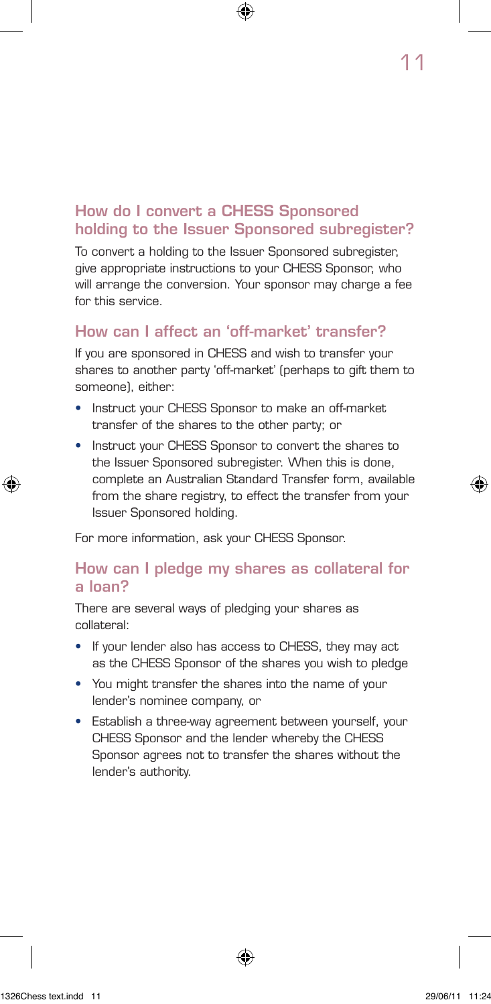# How do I convert a CHESS Sponsored holding to the Issuer Sponsored subregister?

To convert a holding to the Issuer Sponsored subregister, give appropriate instructions to your CHESS Sponsor, who will arrange the conversion. Your sponsor may charge a fee for this service.

# How can I affect an 'off-market' transfer?

If you are sponsored in CHESS and wish to transfer your shares to another party 'off-market' (perhaps to gift them to someone), either:

- Instruct your CHESS Sponsor to make an off-market transfer of the shares to the other party; or
- Instruct your CHESS Sponsor to convert the shares to the Issuer Sponsored subregister. When this is done, complete an Australian Standard Transfer form, available from the share registry, to effect the transfer from your Issuer Sponsored holding.

For more information, ask your CHESS Sponsor.

#### How can I pledge my shares as collateral for a loan?

There are several ways of pledging your shares as collateral:

- If your lender also has access to CHESS, they may act as the CHESS Sponsor of the shares you wish to pledge
- You might transfer the shares into the name of your lender's nominee company, or
- Establish a three-way agreement between yourself, your CHESS Sponsor and the lender whereby the CHESS Sponsor agrees not to transfer the shares without the lender's authority.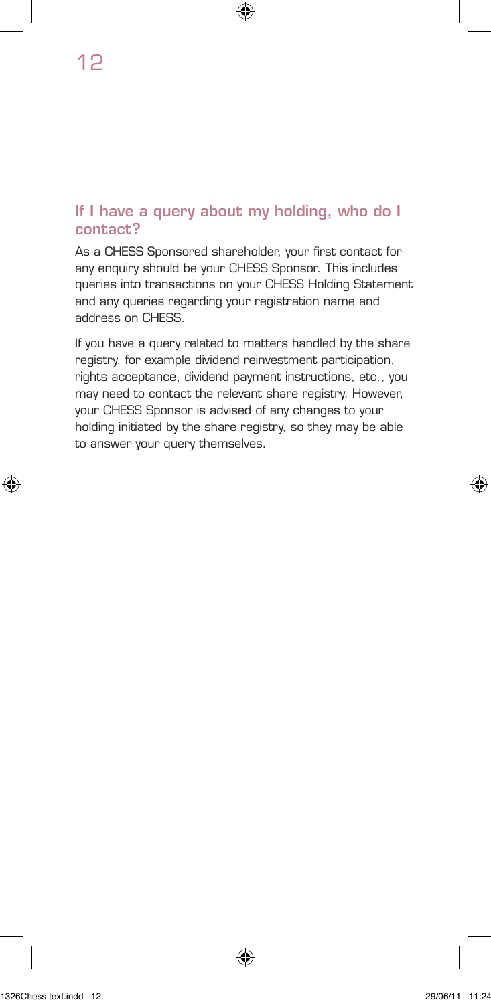#### If I have a query about my holding, who do I contact?

As a CHESS Sponsored shareholder, your first contact for any enquiry should be your CHESS Sponsor. This includes queries into transactions on your CHESS Holding Statement and any queries regarding your registration name and address on CHESS.

If you have a query related to matters handled by the share registry, for example dividend reinvestment participation, rights acceptance, dividend payment instructions, etc., you may need to contact the relevant share registry. However, your CHESS Sponsor is advised of any changes to your holding initiated by the share registry, so they may be able to answer your query themselves.